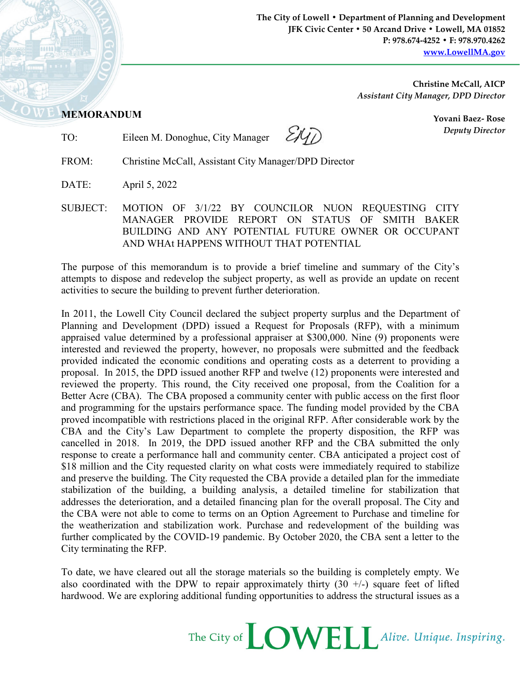**The City of Lowell • Department of Planning and Development JFK Civic Center • 50 Arcand Drive • Lowell, MA 01852 P: 978.674-4252 • F: 978.970.4262 [www.LowellMA.gov](http://www.lowellma.gov/)**

> **Christine McCall, AICP** *Assistant City Manager, DPD Director*

## **MEMORANDUM**

TO: Eileen M. Donoghue, City Manager

EKT)

**Yovani Baez- Rose** *Deputy Director*

FROM: Christine McCall, Assistant City Manager/DPD Director

DATE: April 5, 2022

SUBJECT: MOTION OF 3/1/22 BY COUNCILOR NUON REQUESTING CITY MANAGER PROVIDE REPORT ON STATUS OF SMITH BAKER BUILDING AND ANY POTENTIAL FUTURE OWNER OR OCCUPANT AND WHAt HAPPENS WITHOUT THAT POTENTIAL

The purpose of this memorandum is to provide a brief timeline and summary of the City's attempts to dispose and redevelop the subject property, as well as provide an update on recent activities to secure the building to prevent further deterioration.

In 2011, the Lowell City Council declared the subject property surplus and the Department of Planning and Development (DPD) issued a Request for Proposals (RFP), with a minimum appraised value determined by a professional appraiser at \$300,000. Nine (9) proponents were interested and reviewed the property, however, no proposals were submitted and the feedback provided indicated the economic conditions and operating costs as a deterrent to providing a proposal. In 2015, the DPD issued another RFP and twelve (12) proponents were interested and reviewed the property. This round, the City received one proposal, from the Coalition for a Better Acre (CBA). The CBA proposed a community center with public access on the first floor and programming for the upstairs performance space. The funding model provided by the CBA proved incompatible with restrictions placed in the original RFP. After considerable work by the CBA and the City's Law Department to complete the property disposition, the RFP was cancelled in 2018. In 2019, the DPD issued another RFP and the CBA submitted the only response to create a performance hall and community center. CBA anticipated a project cost of \$18 million and the City requested clarity on what costs were immediately required to stabilize and preserve the building. The City requested the CBA provide a detailed plan for the immediate stabilization of the building, a building analysis, a detailed timeline for stabilization that addresses the deterioration, and a detailed financing plan for the overall proposal. The City and the CBA were not able to come to terms on an Option Agreement to Purchase and timeline for the weatherization and stabilization work. Purchase and redevelopment of the building was further complicated by the COVID-19 pandemic. By October 2020, the CBA sent a letter to the City terminating the RFP.

To date, we have cleared out all the storage materials so the building is completely empty. We also coordinated with the DPW to repair approximately thirty  $(30 +/-)$  square feet of lifted hardwood. We are exploring additional funding opportunities to address the structural issues as a

The City of **LOWELL** Alive. Unique. Inspiring.